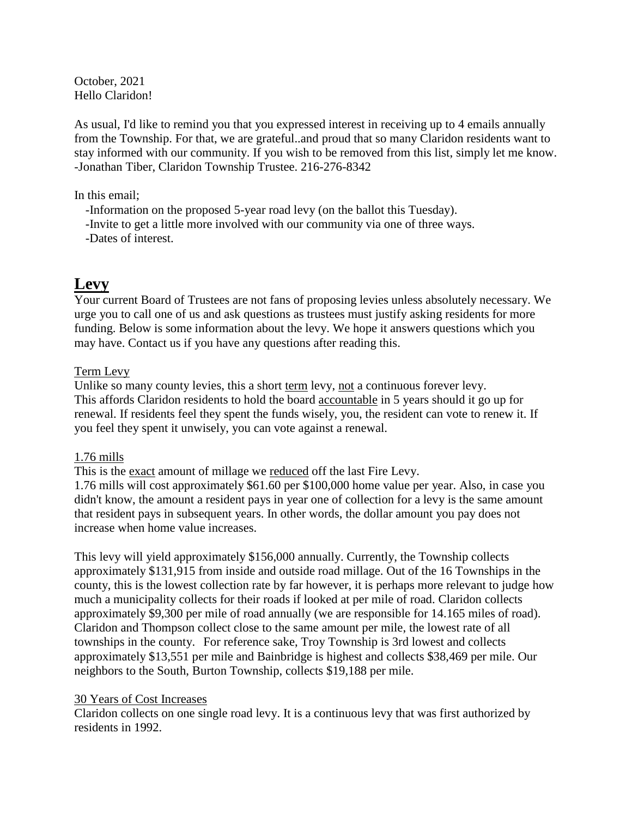October, 2021 Hello Claridon!

As usual, I'd like to remind you that you expressed interest in receiving up to 4 emails annually from the Township. For that, we are grateful..and proud that so many Claridon residents want to stay informed with our community. If you wish to be removed from this list, simply let me know. -Jonathan Tiber, Claridon Township Trustee. 216-276-8342

In this email;

-Information on the proposed 5-year road levy (on the ballot this Tuesday).

-Invite to get a little more involved with our community via one of three ways.

-Dates of interest.

# **Levy**

Your current Board of Trustees are not fans of proposing levies unless absolutely necessary. We urge you to call one of us and ask questions as trustees must justify asking residents for more funding. Below is some information about the levy. We hope it answers questions which you may have. Contact us if you have any questions after reading this.

#### Term Levy

Unlike so many county levies, this a short term levy, not a continuous forever levy. This affords Claridon residents to hold the board accountable in 5 years should it go up for renewal. If residents feel they spent the funds wisely, you, the resident can vote to renew it. If you feel they spent it unwisely, you can vote against a renewal.

#### 1.76 mills

This is the exact amount of millage we reduced off the last Fire Levy.

1.76 mills will cost approximately \$61.60 per \$100,000 home value per year. Also, in case you didn't know, the amount a resident pays in year one of collection for a levy is the same amount that resident pays in subsequent years. In other words, the dollar amount you pay does not increase when home value increases.

This levy will yield approximately \$156,000 annually. Currently, the Township collects approximately \$131,915 from inside and outside road millage. Out of the 16 Townships in the county, this is the lowest collection rate by far however, it is perhaps more relevant to judge how much a municipality collects for their roads if looked at per mile of road. Claridon collects approximately \$9,300 per mile of road annually (we are responsible for 14.165 miles of road). Claridon and Thompson collect close to the same amount per mile, the lowest rate of all townships in the county. For reference sake, Troy Township is 3rd lowest and collects approximately \$13,551 per mile and Bainbridge is highest and collects \$38,469 per mile. Our neighbors to the South, Burton Township, collects \$19,188 per mile.

#### 30 Years of Cost Increases

Claridon collects on one single road levy. It is a continuous levy that was first authorized by residents in 1992.